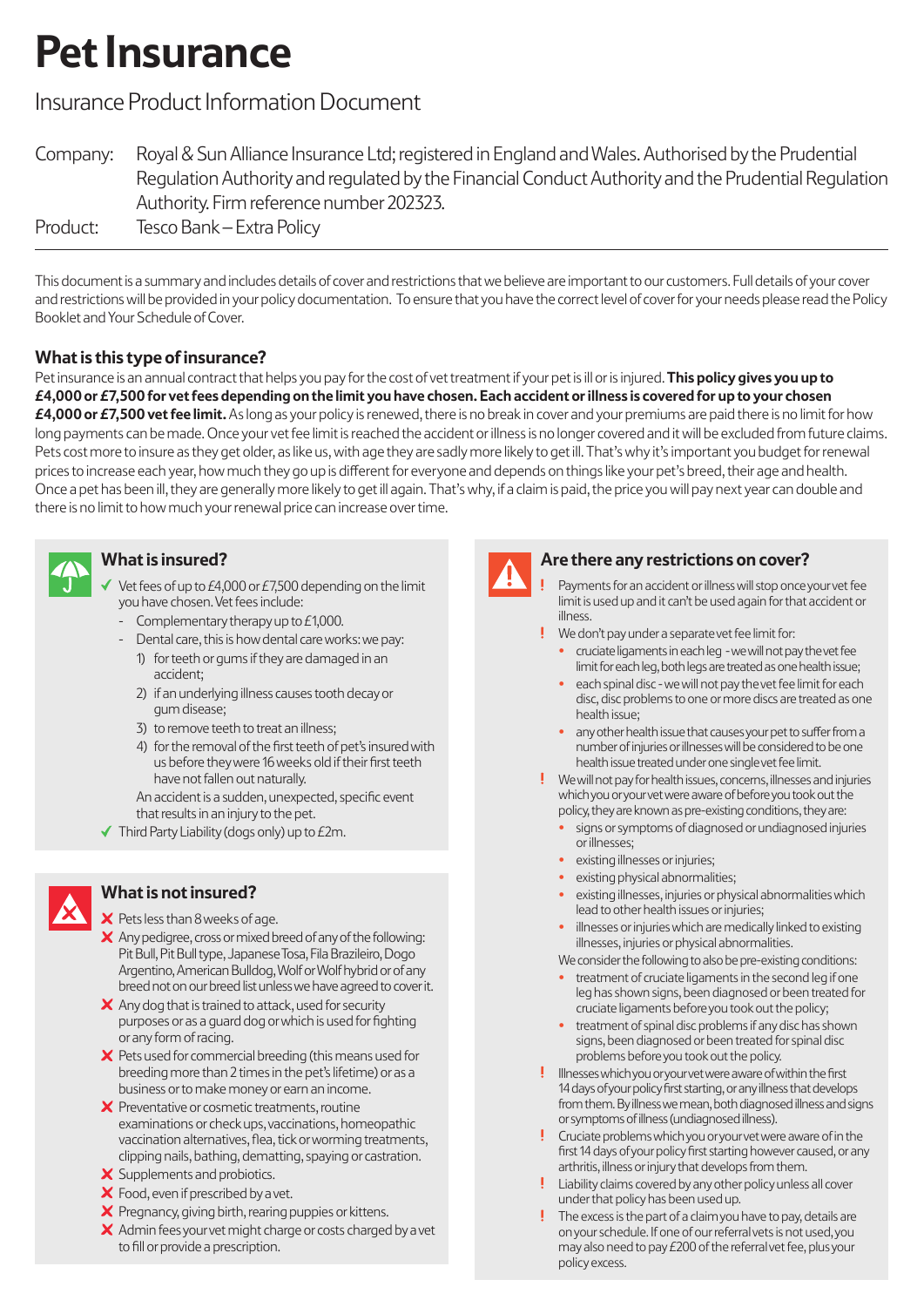# **Pet Insurance**

# Insurance Product Information Document

Company: Royal & Sun Alliance Insurance Ltd; registered in England and Wales. Authorised by the Prudential Regulation Authority and regulated by the Financial Conduct Authority and the Prudential Regulation Authority. Firm reference number 202323. Product: Tesco Bank – Extra Policy

This document is a summary and includes details of cover and restrictions that we believe are important to our customers. Full details of your cover and restrictions will be provided in your policy documentation. To ensure that you have the correct level of cover for your needs please read the Policy Booklet and Your Schedule of Cover.

# **What is this type of insurance?**

Pet insurance is an annual contract that helps you pay for the cost of vet treatment if your pet is ill or is injured. **This policy gives you up to £4,000 or £7,500 for vet fees depending on the limit you have chosen. Each accident or illness is covered for up to your chosen £4,000 or £7,500 vet fee limit.** As long as your policy is renewed, there is no break in cover and your premiums are paid there is no limit for how long payments can be made. Once your vet fee limit is reached the accident or illness is no longer covered and it will be excluded from future claims. Pets cost more to insure as they get older, as like us, with age they are sadly more likely to get ill. That's why it's important you budget for renewal prices to increase each year, how much they go up is different for everyone and depends on things like your pet's breed, their age and health. Once a pet has been ill, they are generally more likely to get ill again. That's why, if a claim is paid, the price you will pay next year can double and there is no limit to how much your renewal price can increase over time.

## **What is insured?**

- Vet fees of up to £4,000 or £7,500 depending on the limit you have chosen. Vet fees include:
- Complementary therapy up to  $E1,000$ .
- Dental care, this is how dental care works: we pay:
	- 1) for teeth or gums if they are damaged in an accident;
	- 2) if an underlying illness causes tooth decay or gum disease;
	- 3) to remove teeth to treat an illness;
	- 4) for the removal of the first teeth of pet's insured with us before they were 16 weeks old if their first teeth have not fallen out naturally.

An accident is a sudden, unexpected, specific event that results in an injury to the pet.

 $\blacktriangledown$  Third Party Liability (dogs only) up to  $E2m$ .



# **What is not insured?**

#### $\times$  Pets less than 8 weeks of age.

- $\boldsymbol{\times}$  Any pedigree, cross or mixed breed of any of the following: Pit Bull, Pit Bull type, Japanese Tosa, Fila Brazileiro, Dogo Argentino, American Bulldog, Wolf or Wolf hybrid or of any breed not on our breed list unless we have agreed to cover it.
- $\boldsymbol{\times}$  Any dog that is trained to attack, used for security purposes or as a guard dog orwhich is used for fighting or any form of racing.
- $\boldsymbol{\times}$  Pets used for commercial breeding (this means used for breeding more than 2 times in the pet's lifetime) or as a business or to make money or earn an income.
- X Preventative or cosmetic treatments, routine examinations or check ups, vaccinations, homeopathic vaccination alternatives, flea, tick orworming treatments, clipping nails, bathing, dematting, spaying or castration.
- X Supplements and probiotics.
- X Food, even if prescribed by a vet.
- X Pregnancy, giving birth, rearing puppies or kittens.
- $\times$  Admin fees your vet might charge or costs charged by a vet to fill or provide a prescription.



### **Are there any restrictions on cover?**

- Payments for an accident or illness will stop once your vet fee limit is used up and it can't be used again for that accident or illness.
- We don't pay under a separate vet fee limit for:
	- cruciate ligaments in each leg we will not pay the vet fee limit for each leg, both legs are treated as one health issue;
	- each spinal disc we will not pay the vet fee limit for each disc, disc problems to one or more discs are treated as one health issue;
	- any other health issue that causes your pet to suffer from a number of injuries or illnesses will be considered to be one health issue treated under one single vet fee limit.
- $\overline{\phantom{a}}$ We will not pay for health issues, concerns, illnesses and injuries which you oryourvet were aware of before you took out the policy, they are known as pre-existing conditions, they are:
	- signs or symptoms of diagnosed or undiagnosed injuries or illnesses;
	- existing illnesses or injuries;
	- existing physical abnormalities;
	- existing illnesses, injuries or physical abnormalities which lead to other health issues or injuries;
	- illnesses or injuries which are medically linked to existing illnesses, injuries or physical abnormalities.
	- We consider the following to also be pre-existing conditions:
	- treatment of cruciate ligaments in the second leg if one leg has shown signs, been diagnosed or been treated for cruciate ligaments before you took out the policy;
	- treatment of spinal disc problems if any disc has shown signs, been diagnosed or been treated for spinal disc problems before you took out the policy.
- $\overline{\phantom{a}}$ Illnesses which you oryourvet were aware of within the first 14 days of your policy first starting, or any illness that develops from them. By illness we mean, both diagnosed illness and signs or symptoms of illness (undiagnosed illness).
- . Cruciate problems which you or your vet were aware of in the first 14 days of your policy first starting however caused, or any arthritis, illness or injury that develops from them.
- Liability claims covered by any other policy unless all cover under that policy has been used up.
- The excess is the part of a claim you have to pay, details are on your schedule. If one of our referral vets is not used, you may also need to pay £200 of the referral vet fee, plus your policy excess.